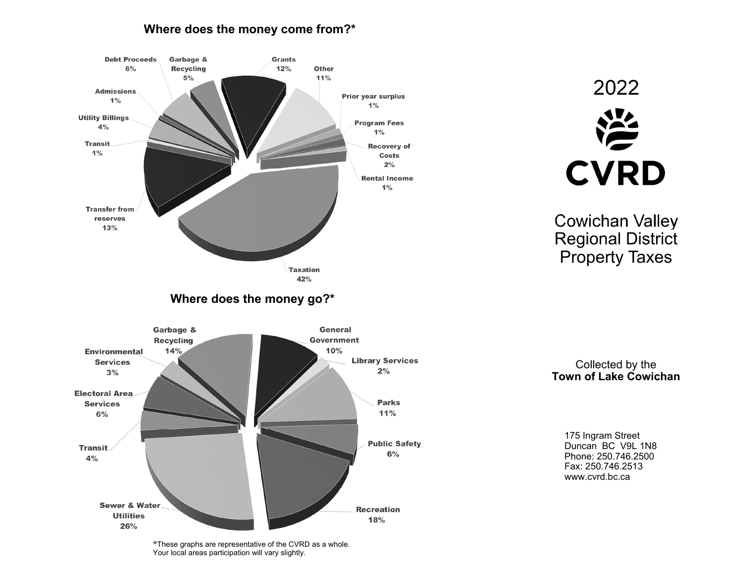## **Where does the money come from?\***



\*These graphs are representative of the CVRD as a whole. Your local areas participation will vary slightly.